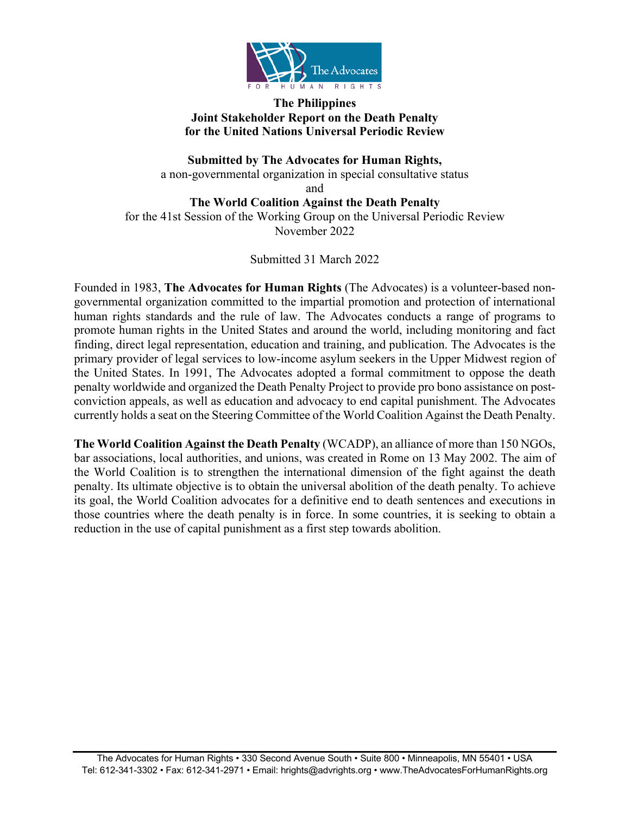

### **The Philippines Joint Stakeholder Report on the Death Penalty for the United Nations Universal Periodic Review**

**Submitted by The Advocates for Human Rights,**  a non-governmental organization in special consultative status and

**The World Coalition Against the Death Penalty** for the 41st Session of the Working Group on the Universal Periodic Review November 2022

Submitted 31 March 2022

Founded in 1983, **The Advocates for Human Rights** (The Advocates) is a volunteer-based nongovernmental organization committed to the impartial promotion and protection of international human rights standards and the rule of law. The Advocates conducts a range of programs to promote human rights in the United States and around the world, including monitoring and fact finding, direct legal representation, education and training, and publication. The Advocates is the primary provider of legal services to low-income asylum seekers in the Upper Midwest region of the United States. In 1991, The Advocates adopted a formal commitment to oppose the death penalty worldwide and organized the Death Penalty Project to provide pro bono assistance on postconviction appeals, as well as education and advocacy to end capital punishment. The Advocates currently holds a seat on the Steering Committee of the World Coalition Against the Death Penalty.

**The World Coalition Against the Death Penalty** (WCADP), an alliance of more than 150 NGOs, bar associations, local authorities, and unions, was created in Rome on 13 May 2002. The aim of the World Coalition is to strengthen the international dimension of the fight against the death penalty. Its ultimate objective is to obtain the universal abolition of the death penalty. To achieve its goal, the World Coalition advocates for a definitive end to death sentences and executions in those countries where the death penalty is in force. In some countries, it is seeking to obtain a reduction in the use of capital punishment as a first step towards abolition.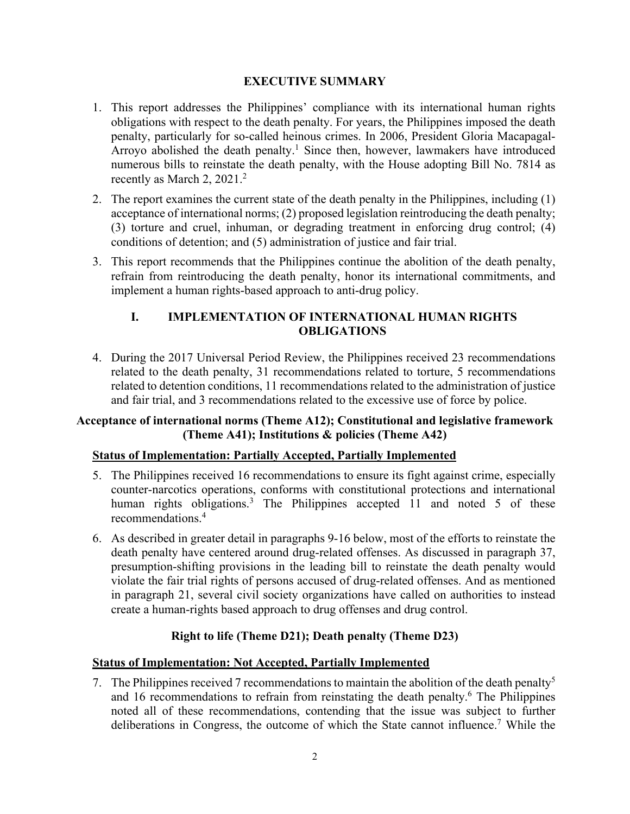### **EXECUTIVE SUMMARY**

- 1. This report addresses the Philippines' compliance with its international human rights obligations with respect to the death penalty. For years, the Philippines imposed the death penalty, particularly for so-called heinous crimes. In 2006, President Gloria Macapagal-Arroyo abolished the death penalty.<sup>1</sup> Since then, however, lawmakers have introduced numerous bills to reinstate the death penalty, with the House adopting Bill No. 7814 as recently as March 2, 2021.2
- 2. The report examines the current state of the death penalty in the Philippines, including (1) acceptance of international norms; (2) proposed legislation reintroducing the death penalty; (3) torture and cruel, inhuman, or degrading treatment in enforcing drug control; (4) conditions of detention; and (5) administration of justice and fair trial.
- 3. This report recommends that the Philippines continue the abolition of the death penalty, refrain from reintroducing the death penalty, honor its international commitments, and implement a human rights-based approach to anti-drug policy.

# **I. IMPLEMENTATION OF INTERNATIONAL HUMAN RIGHTS OBLIGATIONS**

4. During the 2017 Universal Period Review, the Philippines received 23 recommendations related to the death penalty, 31 recommendations related to torture, 5 recommendations related to detention conditions, 11 recommendations related to the administration of justice and fair trial, and 3 recommendations related to the excessive use of force by police.

# **Acceptance of international norms (Theme A12); Constitutional and legislative framework (Theme A41); Institutions & policies (Theme A42)**

# **Status of Implementation: Partially Accepted, Partially Implemented**

- 5. The Philippines received 16 recommendations to ensure its fight against crime, especially counter-narcotics operations, conforms with constitutional protections and international human rights obligations.<sup>3</sup> The Philippines accepted 11 and noted 5 of these recommendations.4
- 6. As described in greater detail in paragraphs 9-16 below, most of the efforts to reinstate the death penalty have centered around drug-related offenses. As discussed in paragraph 37, presumption-shifting provisions in the leading bill to reinstate the death penalty would violate the fair trial rights of persons accused of drug-related offenses. And as mentioned in paragraph 21, several civil society organizations have called on authorities to instead create a human-rights based approach to drug offenses and drug control.

# **Right to life (Theme D21); Death penalty (Theme D23)**

### **Status of Implementation: Not Accepted, Partially Implemented**

7. The Philippines received 7 recommendations to maintain the abolition of the death penalty<sup>5</sup> and 16 recommendations to refrain from reinstating the death penalty. <sup>6</sup> The Philippines noted all of these recommendations, contending that the issue was subject to further deliberations in Congress, the outcome of which the State cannot influence.7 While the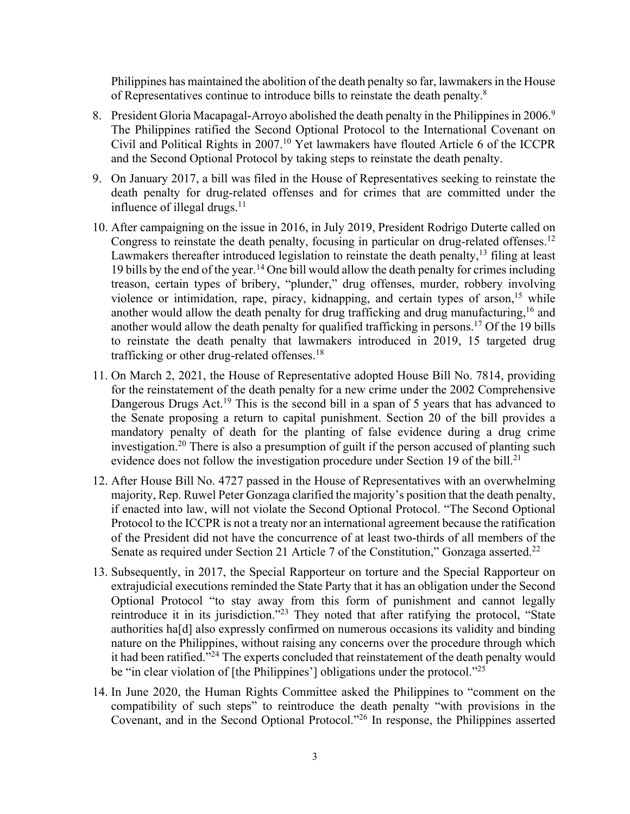Philippines has maintained the abolition of the death penalty so far, lawmakers in the House of Representatives continue to introduce bills to reinstate the death penalty.8

- 8. President Gloria Macapagal-Arroyo abolished the death penalty in the Philippines in 2006.<sup>9</sup> The Philippines ratified the Second Optional Protocol to the International Covenant on Civil and Political Rights in 2007.10 Yet lawmakers have flouted Article 6 of the ICCPR and the Second Optional Protocol by taking steps to reinstate the death penalty.
- 9. On January 2017, a bill was filed in the House of Representatives seeking to reinstate the death penalty for drug-related offenses and for crimes that are committed under the influence of illegal drugs. $11$
- 10. After campaigning on the issue in 2016, in July 2019, President Rodrigo Duterte called on Congress to reinstate the death penalty, focusing in particular on drug-related offenses.<sup>12</sup> Lawmakers thereafter introduced legislation to reinstate the death penalty,<sup>13</sup> filing at least 19 bills by the end of the year.<sup>14</sup> One bill would allow the death penalty for crimes including treason, certain types of bribery, "plunder," drug offenses, murder, robbery involving violence or intimidation, rape, piracy, kidnapping, and certain types of arson,<sup>15</sup> while another would allow the death penalty for drug trafficking and drug manufacturing,  $16$  and another would allow the death penalty for qualified trafficking in persons.<sup>17</sup> Of the 19 bills to reinstate the death penalty that lawmakers introduced in 2019, 15 targeted drug trafficking or other drug-related offenses.18
- 11. On March 2, 2021, the House of Representative adopted House Bill No. 7814, providing for the reinstatement of the death penalty for a new crime under the 2002 Comprehensive Dangerous Drugs Act.<sup>19</sup> This is the second bill in a span of 5 years that has advanced to the Senate proposing a return to capital punishment. Section 20 of the bill provides a mandatory penalty of death for the planting of false evidence during a drug crime investigation.<sup>20</sup> There is also a presumption of guilt if the person accused of planting such evidence does not follow the investigation procedure under Section 19 of the bill.<sup>21</sup>
- 12. After House Bill No. 4727 passed in the House of Representatives with an overwhelming majority, Rep. Ruwel Peter Gonzaga clarified the majority's position that the death penalty, if enacted into law, will not violate the Second Optional Protocol. "The Second Optional Protocol to the ICCPR is not a treaty nor an international agreement because the ratification of the President did not have the concurrence of at least two-thirds of all members of the Senate as required under Section 21 Article 7 of the Constitution," Gonzaga asserted.<sup>22</sup>
- 13. Subsequently, in 2017, the Special Rapporteur on torture and the Special Rapporteur on extrajudicial executions reminded the State Party that it has an obligation under the Second Optional Protocol "to stay away from this form of punishment and cannot legally reintroduce it in its jurisdiction."23 They noted that after ratifying the protocol, "State authorities ha[d] also expressly confirmed on numerous occasions its validity and binding nature on the Philippines, without raising any concerns over the procedure through which it had been ratified."24 The experts concluded that reinstatement of the death penalty would be "in clear violation of [the Philippines'] obligations under the protocol."<sup>25</sup>
- 14. In June 2020, the Human Rights Committee asked the Philippines to "comment on the compatibility of such steps" to reintroduce the death penalty "with provisions in the Covenant, and in the Second Optional Protocol."26 In response, the Philippines asserted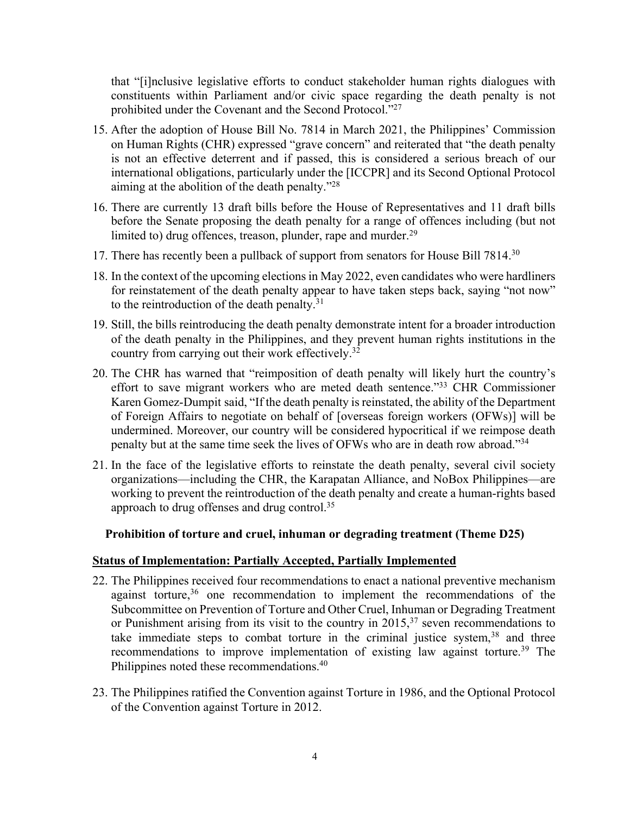that "[i]nclusive legislative efforts to conduct stakeholder human rights dialogues with constituents within Parliament and/or civic space regarding the death penalty is not prohibited under the Covenant and the Second Protocol."27

- 15. After the adoption of House Bill No. 7814 in March 2021, the Philippines' Commission on Human Rights (CHR) expressed "grave concern" and reiterated that "the death penalty is not an effective deterrent and if passed, this is considered a serious breach of our international obligations, particularly under the [ICCPR] and its Second Optional Protocol aiming at the abolition of the death penalty."28
- 16. There are currently 13 draft bills before the House of Representatives and 11 draft bills before the Senate proposing the death penalty for a range of offences including (but not limited to) drug offences, treason, plunder, rape and murder. $^{29}$
- 17. There has recently been a pullback of support from senators for House Bill 7814.<sup>30</sup>
- 18. In the context of the upcoming elections in May 2022, even candidates who were hardliners for reinstatement of the death penalty appear to have taken steps back, saying "not now" to the reintroduction of the death penalty.<sup>31</sup>
- 19. Still, the bills reintroducing the death penalty demonstrate intent for a broader introduction of the death penalty in the Philippines, and they prevent human rights institutions in the country from carrying out their work effectively.<sup>32</sup>
- 20. The CHR has warned that "reimposition of death penalty will likely hurt the country's effort to save migrant workers who are meted death sentence."33 CHR Commissioner Karen Gomez-Dumpit said, "If the death penalty is reinstated, the ability of the Department of Foreign Affairs to negotiate on behalf of [overseas foreign workers (OFWs)] will be undermined. Moreover, our country will be considered hypocritical if we reimpose death penalty but at the same time seek the lives of OFWs who are in death row abroad."34
- 21. In the face of the legislative efforts to reinstate the death penalty, several civil society organizations—including the CHR, the Karapatan Alliance, and NoBox Philippines—are working to prevent the reintroduction of the death penalty and create a human-rights based approach to drug offenses and drug control.<sup>35</sup>

# **Prohibition of torture and cruel, inhuman or degrading treatment (Theme D25)**

### **Status of Implementation: Partially Accepted, Partially Implemented**

- 22. The Philippines received four recommendations to enact a national preventive mechanism against torture,  $36$  one recommendation to implement the recommendations of the Subcommittee on Prevention of Torture and Other Cruel, Inhuman or Degrading Treatment or Punishment arising from its visit to the country in  $2015$ ,<sup>37</sup> seven recommendations to take immediate steps to combat torture in the criminal justice system,  $38$  and three recommendations to improve implementation of existing law against torture.<sup>39</sup> The Philippines noted these recommendations.<sup>40</sup>
- 23. The Philippines ratified the Convention against Torture in 1986, and the Optional Protocol of the Convention against Torture in 2012.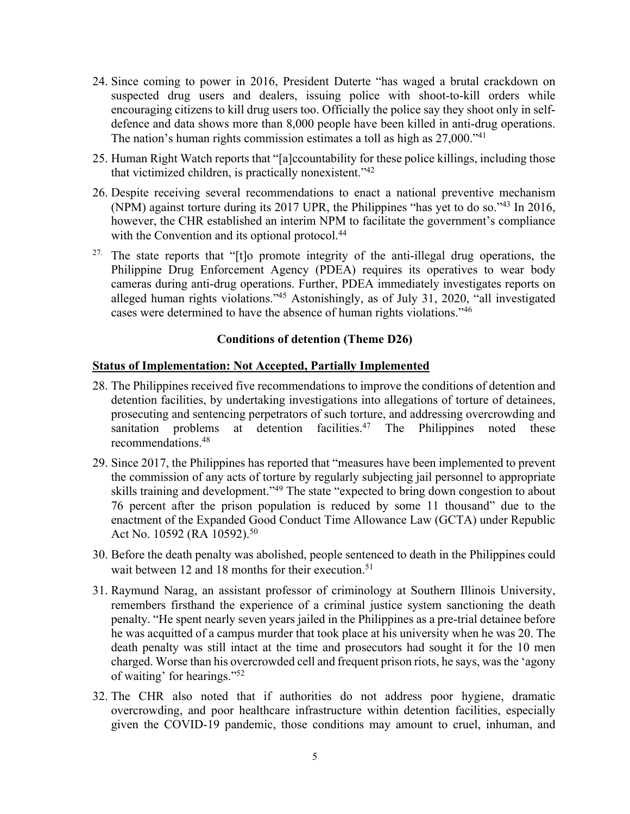- 24. Since coming to power in 2016, President Duterte "has waged a brutal crackdown on suspected drug users and dealers, issuing police with shoot-to-kill orders while encouraging citizens to kill drug users too. Officially the police say they shoot only in selfdefence and data shows more than 8,000 people have been killed in anti-drug operations. The nation's human rights commission estimates a toll as high as  $27,000.^{41}$ .
- 25. Human Right Watch reports that "[a]ccountability for these police killings, including those that victimized children, is practically nonexistent."42
- 26. Despite receiving several recommendations to enact a national preventive mechanism (NPM) against torture during its 2017 UPR, the Philippines "has yet to do so."43 In 2016, however, the CHR established an interim NPM to facilitate the government's compliance with the Convention and its optional protocol.<sup>44</sup>
- <sup>27.</sup> The state reports that "[t]o promote integrity of the anti-illegal drug operations, the Philippine Drug Enforcement Agency (PDEA) requires its operatives to wear body cameras during anti-drug operations. Further, PDEA immediately investigates reports on alleged human rights violations."45 Astonishingly, as of July 31, 2020, "all investigated cases were determined to have the absence of human rights violations."46

### **Conditions of detention (Theme D26)**

#### **Status of Implementation: Not Accepted, Partially Implemented**

- 28. The Philippines received five recommendations to improve the conditions of detention and detention facilities, by undertaking investigations into allegations of torture of detainees, prosecuting and sentencing perpetrators of such torture, and addressing overcrowding and sanitation problems at detention facilities.<sup>47</sup> The Philippines noted these recommendations.48
- 29. Since 2017, the Philippines has reported that "measures have been implemented to prevent the commission of any acts of torture by regularly subjecting jail personnel to appropriate skills training and development."<sup>49</sup> The state "expected to bring down congestion to about 76 percent after the prison population is reduced by some 11 thousand" due to the enactment of the Expanded Good Conduct Time Allowance Law (GCTA) under Republic Act No. 10592 (RA 10592).<sup>50</sup>
- 30. Before the death penalty was abolished, people sentenced to death in the Philippines could wait between 12 and 18 months for their execution.<sup>51</sup>
- 31. Raymund Narag, an assistant professor of criminology at Southern Illinois University, remembers firsthand the experience of a criminal justice system sanctioning the death penalty. "He spent nearly seven years jailed in the Philippines as a pre-trial detainee before he was acquitted of a campus murder that took place at his university when he was 20. The death penalty was still intact at the time and prosecutors had sought it for the 10 men charged. Worse than his overcrowded cell and frequent prison riots, he says, wasthe 'agony of waiting' for hearings."52
- 32. The CHR also noted that if authorities do not address poor hygiene, dramatic overcrowding, and poor healthcare infrastructure within detention facilities, especially given the COVID-19 pandemic, those conditions may amount to cruel, inhuman, and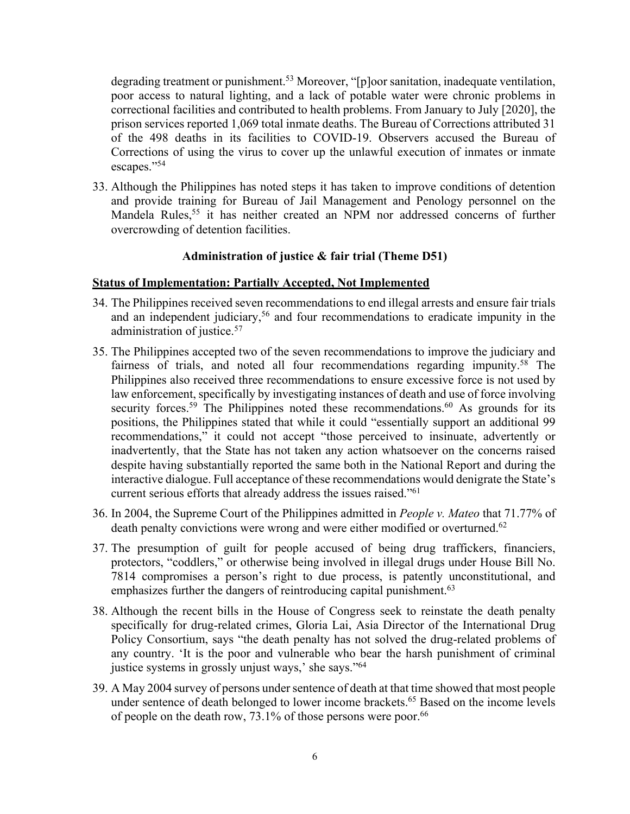degrading treatment or punishment.<sup>53</sup> Moreover, "[p]oor sanitation, inadequate ventilation, poor access to natural lighting, and a lack of potable water were chronic problems in correctional facilities and contributed to health problems. From January to July [2020], the prison services reported 1,069 total inmate deaths. The Bureau of Corrections attributed 31 of the 498 deaths in its facilities to COVID-19. Observers accused the Bureau of Corrections of using the virus to cover up the unlawful execution of inmates or inmate escapes."54

33. Although the Philippines has noted steps it has taken to improve conditions of detention and provide training for Bureau of Jail Management and Penology personnel on the Mandela Rules,<sup>55</sup> it has neither created an NPM nor addressed concerns of further overcrowding of detention facilities.

### **Administration of justice & fair trial (Theme D51)**

#### **Status of Implementation: Partially Accepted, Not Implemented**

- 34. The Philippines received seven recommendations to end illegal arrests and ensure fair trials and an independent judiciary,<sup>56</sup> and four recommendations to eradicate impunity in the administration of justice.<sup>57</sup>
- 35. The Philippines accepted two of the seven recommendations to improve the judiciary and fairness of trials, and noted all four recommendations regarding impunity.58 The Philippines also received three recommendations to ensure excessive force is not used by law enforcement, specifically by investigating instances of death and use of force involving security forces.<sup>59</sup> The Philippines noted these recommendations.<sup>60</sup> As grounds for its positions, the Philippines stated that while it could "essentially support an additional 99 recommendations," it could not accept "those perceived to insinuate, advertently or inadvertently, that the State has not taken any action whatsoever on the concerns raised despite having substantially reported the same both in the National Report and during the interactive dialogue. Full acceptance of these recommendations would denigrate the State's current serious efforts that already address the issues raised."61
- 36. In 2004, the Supreme Court of the Philippines admitted in *People v. Mateo* that 71.77% of death penalty convictions were wrong and were either modified or overturned.<sup>62</sup>
- 37. The presumption of guilt for people accused of being drug traffickers, financiers, protectors, "coddlers," or otherwise being involved in illegal drugs under House Bill No. 7814 compromises a person's right to due process, is patently unconstitutional, and emphasizes further the dangers of reintroducing capital punishment.<sup>63</sup>
- 38. Although the recent bills in the House of Congress seek to reinstate the death penalty specifically for drug-related crimes, Gloria Lai, Asia Director of the International Drug Policy Consortium, says "the death penalty has not solved the drug-related problems of any country. 'It is the poor and vulnerable who bear the harsh punishment of criminal justice systems in grossly unjust ways,' she says."64
- 39. A May 2004 survey of persons under sentence of death at that time showed that most people under sentence of death belonged to lower income brackets. <sup>65</sup> Based on the income levels of people on the death row, 73.1% of those persons were poor.<sup>66</sup>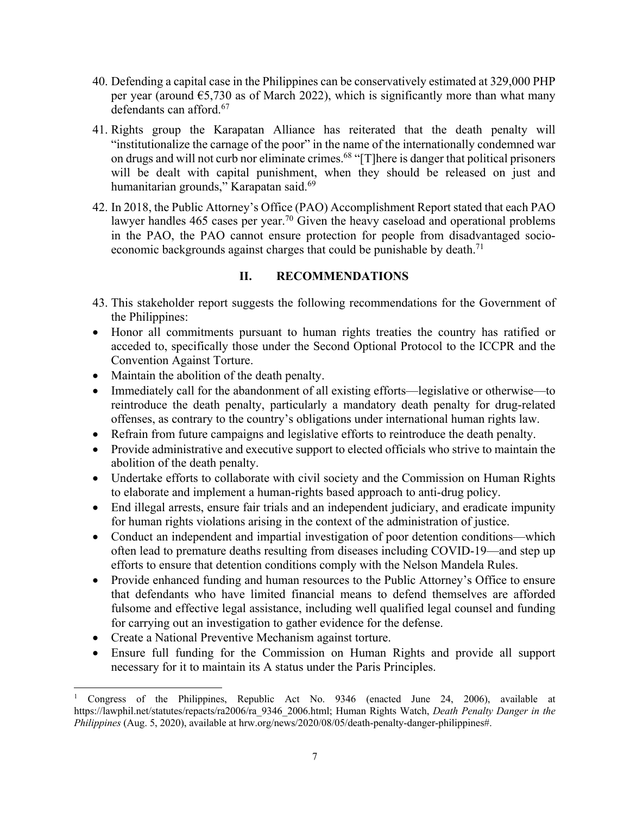- 40. Defending a capital case in the Philippines can be conservatively estimated at 329,000 PHP per year (around  $65,730$  as of March 2022), which is significantly more than what many defendants can afford.<sup>67</sup>
- 41. Rights group the Karapatan Alliance has reiterated that the death penalty will "institutionalize the carnage of the poor" in the name of the internationally condemned war on drugs and will not curb nor eliminate crimes.<sup>68</sup> "[T]here is danger that political prisoners will be dealt with capital punishment, when they should be released on just and humanitarian grounds," Karapatan said.<sup>69</sup>
- 42. In 2018, the Public Attorney's Office (PAO) Accomplishment Report stated that each PAO lawyer handles 465 cases per year.<sup>70</sup> Given the heavy caseload and operational problems in the PAO, the PAO cannot ensure protection for people from disadvantaged socioeconomic backgrounds against charges that could be punishable by death.<sup>71</sup>

### **II. RECOMMENDATIONS**

- 43. This stakeholder report suggests the following recommendations for the Government of the Philippines:
- Honor all commitments pursuant to human rights treaties the country has ratified or acceded to, specifically those under the Second Optional Protocol to the ICCPR and the Convention Against Torture.
- Maintain the abolition of the death penalty.
- Immediately call for the abandonment of all existing efforts—legislative or otherwise—to reintroduce the death penalty, particularly a mandatory death penalty for drug-related offenses, as contrary to the country's obligations under international human rights law.
- Refrain from future campaigns and legislative efforts to reintroduce the death penalty.
- Provide administrative and executive support to elected officials who strive to maintain the abolition of the death penalty.
- Undertake efforts to collaborate with civil society and the Commission on Human Rights to elaborate and implement a human-rights based approach to anti-drug policy.
- End illegal arrests, ensure fair trials and an independent judiciary, and eradicate impunity for human rights violations arising in the context of the administration of justice.
- Conduct an independent and impartial investigation of poor detention conditions—which often lead to premature deaths resulting from diseases including COVID-19—and step up efforts to ensure that detention conditions comply with the Nelson Mandela Rules.
- Provide enhanced funding and human resources to the Public Attorney's Office to ensure that defendants who have limited financial means to defend themselves are afforded fulsome and effective legal assistance, including well qualified legal counsel and funding for carrying out an investigation to gather evidence for the defense.
- Create a National Preventive Mechanism against torture.
- Ensure full funding for the Commission on Human Rights and provide all support necessary for it to maintain its A status under the Paris Principles.

<sup>1</sup> Congress of the Philippines, Republic Act No. 9346 (enacted June 24, 2006), available at https://lawphil.net/statutes/repacts/ra2006/ra\_9346\_2006.html; Human Rights Watch, *Death Penalty Danger in the Philippines* (Aug. 5, 2020), available at hrw.org/news/2020/08/05/death-penalty-danger-philippines#.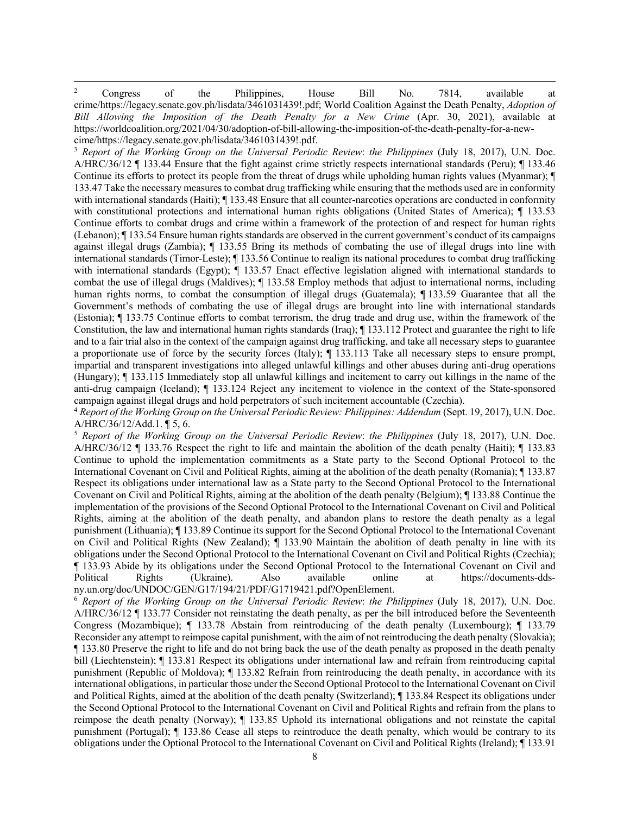$2^2$  Congress of the Philippines, House Bill No. 7814, available at crime/https://legacy.senate.gov.ph/lisdata/3461031439!.pdf; World Coalition Against the Death Penalty, *Adoption of Bill Allowing the Imposition of the Death Penalty for a New Crime* (Apr. 30, 2021), available at https://worldcoalition.org/2021/04/30/adoption-of-bill-allowing-the-imposition-of-the-death-penalty-for-a-newcime/https://legacy.senate.gov.ph/lisdata/3461031439!.pdf.

<sup>3</sup> *Report of the Working Group on the Universal Periodic Review*: *the Philippines* (July 18, 2017), U.N. Doc. A/HRC/36/12 ¶ 133.44 Ensure that the fight against crime strictly respects international standards (Peru); ¶ 133.46 Continue its efforts to protect its people from the threat of drugs while upholding human rights values (Myanmar); ¶ 133.47 Take the necessary measures to combat drug trafficking while ensuring that the methods used are in conformity with international standards (Haiti);  $\P$  133.48 Ensure that all counter-narcotics operations are conducted in conformity with constitutional protections and international human rights obligations (United States of America);  $\P$  133.53 Continue efforts to combat drugs and crime within a framework of the protection of and respect for human rights (Lebanon); ¶ 133.54 Ensure human rights standards are observed in the current government's conduct of its campaigns against illegal drugs (Zambia); ¶ 133.55 Bring its methods of combating the use of illegal drugs into line with international standards (Timor-Leste); ¶ 133.56 Continue to realign its national procedures to combat drug trafficking with international standards (Egypt);  $\P$  133.57 Enact effective legislation aligned with international standards to combat the use of illegal drugs (Maldives); ¶ 133.58 Employ methods that adjust to international norms, including human rights norms, to combat the consumption of illegal drugs (Guatemala); ¶ 133.59 Guarantee that all the Government's methods of combating the use of illegal drugs are brought into line with international standards (Estonia); ¶ 133.75 Continue efforts to combat terrorism, the drug trade and drug use, within the framework of the Constitution, the law and international human rights standards (Iraq); ¶ 133.112 Protect and guarantee the right to life and to a fair trial also in the context of the campaign against drug trafficking, and take all necessary steps to guarantee a proportionate use of force by the security forces (Italy); ¶ 133.113 Take all necessary steps to ensure prompt, impartial and transparent investigations into alleged unlawful killings and other abuses during anti-drug operations (Hungary); ¶ 133.115 Immediately stop all unlawful killings and incitement to carry out killings in the name of the anti-drug campaign (Iceland); ¶ 133.124 Reject any incitement to violence in the context of the State-sponsored campaign against illegal drugs and hold perpetrators of such incitement accountable (Czechia).

<sup>4</sup> *Report of the Working Group on the Universal Periodic Review: Philippines: Addendum* (Sept. 19, 2017), U.N. Doc. A/HRC/36/12/Add.1. ¶ 5, 6.

<sup>5</sup> *Report of the Working Group on the Universal Periodic Review*: *the Philippines* (July 18, 2017), U.N. Doc. A/HRC/36/12 ¶ 133.76 Respect the right to life and maintain the abolition of the death penalty (Haiti); ¶ 133.83 Continue to uphold the implementation commitments as a State party to the Second Optional Protocol to the International Covenant on Civil and Political Rights, aiming at the abolition of the death penalty (Romania); ¶ 133.87 Respect its obligations under international law as a State party to the Second Optional Protocol to the International Covenant on Civil and Political Rights, aiming at the abolition of the death penalty (Belgium); ¶ 133.88 Continue the implementation of the provisions of the Second Optional Protocol to the International Covenant on Civil and Political Rights, aiming at the abolition of the death penalty, and abandon plans to restore the death penalty as a legal punishment (Lithuania); ¶ 133.89 Continue its support for the Second Optional Protocol to the International Covenant on Civil and Political Rights (New Zealand); ¶ 133.90 Maintain the abolition of death penalty in line with its obligations under the Second Optional Protocol to the International Covenant on Civil and Political Rights (Czechia); ¶ 133.93 Abide by its obligations under the Second Optional Protocol to the International Covenant on Civil and Political Rights (Ukraine). Also available online at https://documents-ddsny.un.org/doc/UNDOC/GEN/G17/194/21/PDF/G1719421.pdf?OpenElement.

<sup>6</sup> *Report of the Working Group on the Universal Periodic Review*: *the Philippines* (July 18, 2017), U.N. Doc. A/HRC/36/12 ¶ 133.77 Consider not reinstating the death penalty, as per the bill introduced before the Seventeenth Congress (Mozambique); ¶ 133.78 Abstain from reintroducing of the death penalty (Luxembourg); ¶ 133.79 Reconsider any attempt to reimpose capital punishment, with the aim of not reintroducing the death penalty (Slovakia); ¶ 133.80 Preserve the right to life and do not bring back the use of the death penalty as proposed in the death penalty bill (Liechtenstein); ¶ 133.81 Respect its obligations under international law and refrain from reintroducing capital punishment (Republic of Moldova); ¶ 133.82 Refrain from reintroducing the death penalty, in accordance with its international obligations, in particular those under the Second Optional Protocol to the International Covenant on Civil and Political Rights, aimed at the abolition of the death penalty (Switzerland); ¶ 133.84 Respect its obligations under the Second Optional Protocol to the International Covenant on Civil and Political Rights and refrain from the plans to reimpose the death penalty (Norway); ¶ 133.85 Uphold its international obligations and not reinstate the capital punishment (Portugal); ¶ 133.86 Cease all steps to reintroduce the death penalty, which would be contrary to its obligations under the Optional Protocol to the International Covenant on Civil and Political Rights (Ireland); ¶ 133.91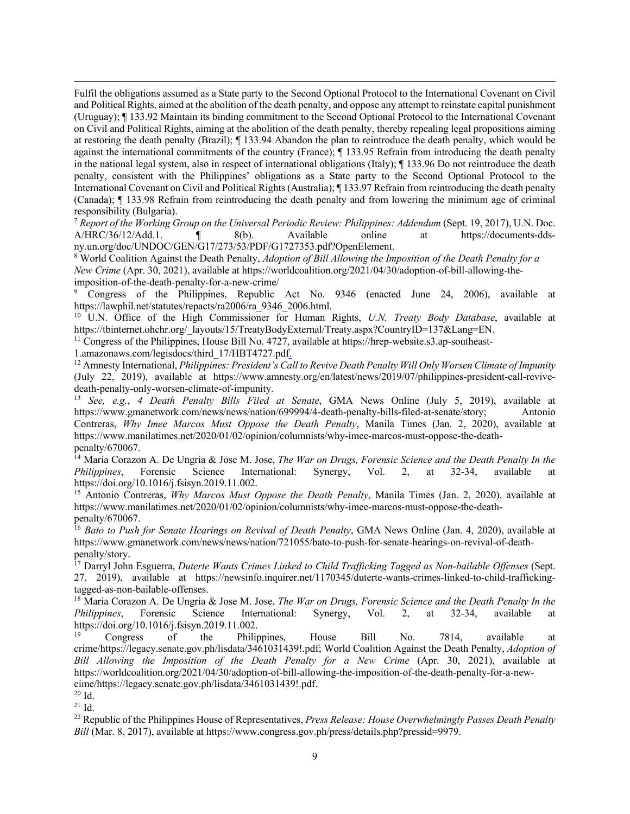Fulfil the obligations assumed as a State party to the Second Optional Protocol to the International Covenant on Civil and Political Rights, aimed at the abolition of the death penalty, and oppose any attempt to reinstate capital punishment (Uruguay); ¶ 133.92 Maintain its binding commitment to the Second Optional Protocol to the International Covenant on Civil and Political Rights, aiming at the abolition of the death penalty, thereby repealing legal propositions aiming at restoring the death penalty (Brazil); ¶ 133.94 Abandon the plan to reintroduce the death penalty, which would be against the international commitments of the country (France); ¶ 133.95 Refrain from introducing the death penalty in the national legal system, also in respect of international obligations (Italy); ¶ 133.96 Do not reintroduce the death penalty, consistent with the Philippines' obligations as a State party to the Second Optional Protocol to the International Covenant on Civil and Political Rights (Australia); ¶ 133.97 Refrain from reintroducing the death penalty (Canada); ¶ 133.98 Refrain from reintroducing the death penalty and from lowering the minimum age of criminal responsibility (Bulgaria).

<sup>7</sup> *Report of the Working Group on the Universal Periodic Review: Philippines: Addendum* (Sept. 19, 2017), U.N. Doc. A/HRC/36/12/Add.1. ¶ 8(b). Available online at https://documents-ddsny.un.org/doc/UNDOC/GEN/G17/273/53/PDF/G1727353.pdf?OpenElement.

<sup>8</sup> World Coalition Against the Death Penalty, *Adoption of Bill Allowing the Imposition of the Death Penalty for a New Crime* (Apr. 30, 2021), available at https://worldcoalition.org/2021/04/30/adoption-of-bill-allowing-theimposition-of-the-death-penalty-for-a-new-crime/

Congress of the Philippines, Republic Act No. 9346 (enacted June 24, 2006), available at https://lawphil.net/statutes/repacts/ra2006/ra\_9346\_2006.html.

<sup>10</sup> U.N. Office of the High Commissioner for Human Rights, *U.N. Treaty Body Database*, available at https://tbinternet.ohchr.org/\_layouts/15/TreatyBodyExternal/Treaty.aspx?CountryID=137&Lang=EN.

<sup>11</sup> Congress of the Philippines, House Bill No. 4727, available at https://hrep-website.s3.ap-southeast-

1.amazonaws.com/legisdocs/third\_17/HBT4727.pdf.

<sup>12</sup> Amnesty International, *Philippines: President's Call to Revive Death Penalty Will Only Worsen Climate of Impunity* (July 22, 2019), available at https://www.amnesty.org/en/latest/news/2019/07/philippines-president-call-revivedeath-penalty-only-worsen-climate-of-impunity.

<sup>13</sup> *See, e.g.*, *4 Death Penalty Bills Filed at Senate*, GMA News Online (July 5, 2019), available at https://www.gmanetwork.com/news/news/nation/699994/4-death-penalty-bills-filed-at-senate/story; Antonio Contreras, *Why Imee Marcos Must Oppose the Death Penalty*, Manila Times (Jan. 2, 2020), available at https://www.manilatimes.net/2020/01/02/opinion/columnists/why-imee-marcos-must-oppose-the-deathpenalty/670067.

<sup>14</sup> Maria Corazon A. De Ungria & Jose M. Jose, *The War on Drugs, Forensic Science and the Death Penalty In the Philippines*, Forensic Science International: Synergy, Vol. 2, at 32-34, available at https://doi.org/10.1016/j.fsisyn.2019.11.002.

<sup>15</sup> Antonio Contreras, *Why Marcos Must Oppose the Death Penalty*, Manila Times (Jan. 2, 2020), available at https://www.manilatimes.net/2020/01/02/opinion/columnists/why-imee-marcos-must-oppose-the-deathpenalty/670067.

<sup>16</sup> *Bato to Push for Senate Hearings on Revival of Death Penalty*, GMA News Online (Jan. 4, 2020), available at https://www.gmanetwork.com/news/news/nation/721055/bato-to-push-for-senate-hearings-on-revival-of-deathpenalty/story.

<sup>17</sup> Darryl John Esguerra, *Duterte Wants Crimes Linked to Child Trafficking Tagged as Non-bailable Offenses* (Sept. 27, 2019), available at https://newsinfo.inquirer.net/1170345/duterte-wants-crimes-linked-to-child-traffickingtagged-as-non-bailable-offenses.

<sup>18</sup> Maria Corazon A. De Ungria & Jose M. Jose, *The War on Drugs, Forensic Science and the Death Penalty In the Philippines*, Forensic Science International: Synergy, Vol. 2, at 32-34, available at https://doi.org/10.1016/j.fsisyn.2019.11.002.

<sup>19</sup> Congress of the Philippines, House Bill No. 7814, available at crime/https://legacy.senate.gov.ph/lisdata/3461031439!.pdf; World Coalition Against the Death Penalty, *Adoption of Bill Allowing the Imposition of the Death Penalty for a New Crime* (Apr. 30, 2021), available at https://worldcoalition.org/2021/04/30/adoption-of-bill-allowing-the-imposition-of-the-death-penalty-for-a-newcime/https://legacy.senate.gov.ph/lisdata/3461031439!.pdf.

<sup>20</sup> Id.

<sup>21</sup> Id.

<sup>22</sup> Republic of the Philippines House of Representatives, *Press Release: House Overwhelmingly Passes Death Penalty Bill* (Mar. 8, 2017), available at https://www.congress.gov.ph/press/details.php?pressid=9979.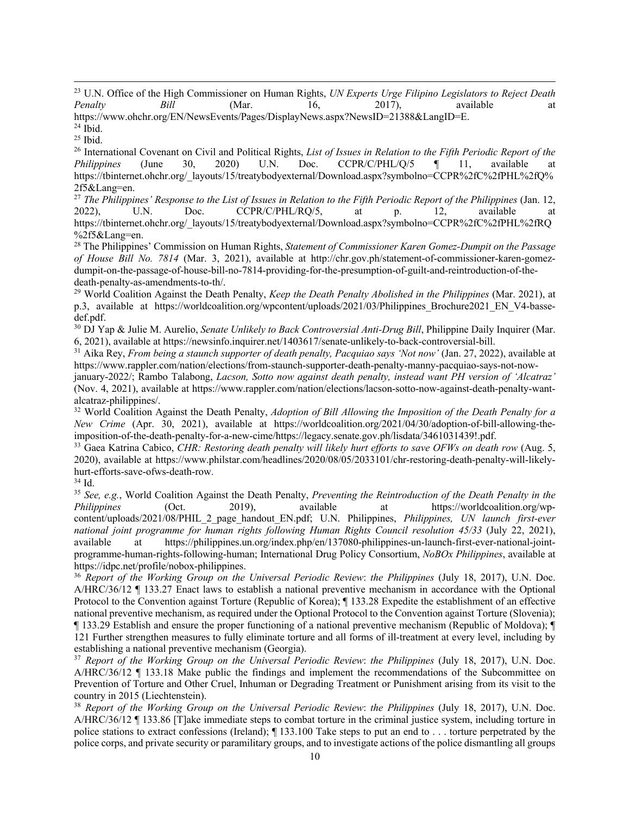<sup>23</sup> U.N. Office of the High Commissioner on Human Rights, *UN Experts Urge Filipino Legislators to Reject Death Penalty Bill* (Mar. 16, 2017), available at

https://www.ohchr.org/EN/NewsEvents/Pages/DisplayNews.aspx?NewsID=21388&LangID=E.

<sup>24</sup> Ibid.

 $25$  Ibid.

<sup>26</sup> International Covenant on Civil and Political Rights, *List of Issues in Relation to the Fifth Periodic Report of the Philippines* (June 30, 2020) U.N. Doc. CCPR/C/PHL/O/5 ¶ 11. available at *Philippines* (June 30, 2020) U.N. Doc. CCPR/C/PHL/Q/5 ¶ 11, available at https://tbinternet.ohchr.org/\_layouts/15/treatybodyexternal/Download.aspx?symbolno=CCPR%2fC%2fPHL%2fQ% 2f5&Lang=en.

<sup>27</sup> The Philippines' Response to the List of Issues in Relation to the Fifth Periodic Report of the Philippines (Jan. 12, 2022), U.N. Doc. CCPR/C/PHL/RQ/5, at p. 12, available at https://tbinternet.ohchr.org/\_layouts/15/treatybodyexternal/Download.aspx?symbolno=CCPR%2fC%2fPHL%2fRQ %2f5&Lang=en.

<sup>28</sup> The Philippines' Commission on Human Rights, *Statement of Commissioner Karen Gomez-Dumpit on the Passage of House Bill No. 7814* (Mar. 3, 2021), available at http://chr.gov.ph/statement-of-commissioner-karen-gomezdumpit-on-the-passage-of-house-bill-no-7814-providing-for-the-presumption-of-guilt-and-reintroduction-of-thedeath-penalty-as-amendments-to-th/.

<sup>29</sup> World Coalition Against the Death Penalty, *Keep the Death Penalty Abolished in the Philippines* (Mar. 2021), at p.3, available at https://worldcoalition.org/wpcontent/uploads/2021/03/Philippines Brochure2021\_EN\_V4-bassedef.pdf.

<sup>30</sup> DJ Yap & Julie M. Aurelio, *Senate Unlikely to Back Controversial Anti-Drug Bill*, Philippine Daily Inquirer (Mar. 6, 2021), available at https://newsinfo.inquirer.net/1403617/senate-unlikely-to-back-controversial-bill.<br><sup>31</sup> Aika Rey, *From being a staunch supporter of death penalty, Pacquiao says 'Not now'* (Jan. 27, 2022), available

https://www.rappler.com/nation/elections/from-staunch-supporter-death-penalty-manny-pacquiao-says-not-now-

january-2022/; Rambo Talabong, *Lacson, Sotto now against death penalty, instead want PH version of 'Alcatraz'* (Nov. 4, 2021), available at https://www.rappler.com/nation/elections/lacson-sotto-now-against-death-penalty-wantalcatraz-philippines/. 32 World Coalition Against the Death Penalty, *Adoption of Bill Allowing the Imposition of the Death Penalty for a* 

*New Crime* (Apr. 30, 2021), available at https://worldcoalition.org/2021/04/30/adoption-of-bill-allowing-theimposition-of-the-death-penalty-for-a-new-cime/https://legacy.senate.gov.ph/lisdata/3461031439!.pdf.

<sup>33</sup> Gaea Katrina Cabico, *CHR: Restoring death penalty will likely hurt efforts to save OFWs on death row (Aug. 5,* 2020), available at https://www.philstar.com/headlines/2020/08/05/2033101/chr-restoring-death-penalty-will-likelyhurt-efforts-save-ofws-death-row.

<sup>34</sup> Id.

<sup>35</sup> *See, e.g.*, World Coalition Against the Death Penalty, *Preventing the Reintroduction of the Death Penalty in the Philippines* (Oct. 2019), available at https://worldcoalition.org/wpcontent/uploads/2021/08/PHIL\_2\_page\_handout\_EN.pdf; U.N. Philippines, *Philippines, UN launch first-ever national joint programme for human rights following Human Rights Council resolution 45/33* (July 22, 2021), available at https://philippines.un.org/index.php/en/137080-philippines-un-launch-first-ever-national-jointprogramme-human-rights-following-human; International Drug Policy Consortium, *NoBOx Philippines*, available at https://idpc.net/profile/nobox-philippines. 36 *Report of the Working Group on the Universal Periodic Review*: *the Philippines* (July 18, 2017), U.N. Doc.

A/HRC/36/12 ¶ 133.27 Enact laws to establish a national preventive mechanism in accordance with the Optional Protocol to the Convention against Torture (Republic of Korea); ¶ 133.28 Expedite the establishment of an effective national preventive mechanism, as required under the Optional Protocol to the Convention against Torture (Slovenia); ¶ 133.29 Establish and ensure the proper functioning of a national preventive mechanism (Republic of Moldova); ¶ 121 Further strengthen measures to fully eliminate torture and all forms of ill-treatment at every level, including by establishing a national preventive mechanism (Georgia).

<sup>37</sup> *Report of the Working Group on the Universal Periodic Review*: *the Philippines* (July 18, 2017), U.N. Doc. A/HRC/36/12 ¶ 133.18 Make public the findings and implement the recommendations of the Subcommittee on Prevention of Torture and Other Cruel, Inhuman or Degrading Treatment or Punishment arising from its visit to the country in 2015 (Liechtenstein).

<sup>38</sup> *Report of the Working Group on the Universal Periodic Review*: *the Philippines* (July 18, 2017), U.N. Doc. A/HRC/36/12 ¶ 133.86 [T]ake immediate steps to combat torture in the criminal justice system, including torture in police stations to extract confessions (Ireland); ¶ 133.100 Take steps to put an end to . . . torture perpetrated by the police corps, and private security or paramilitary groups, and to investigate actions of the police dismantling all groups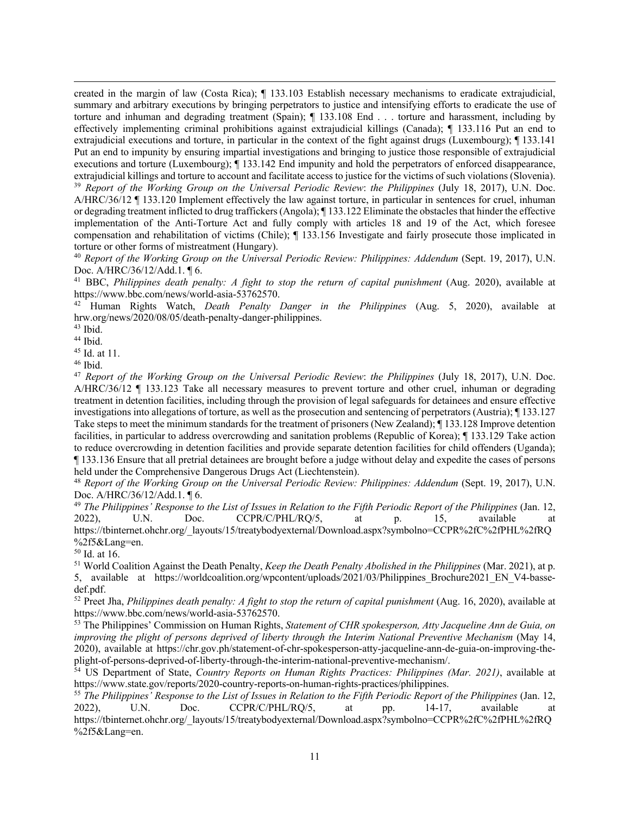created in the margin of law (Costa Rica); ¶ 133.103 Establish necessary mechanisms to eradicate extrajudicial, summary and arbitrary executions by bringing perpetrators to justice and intensifying efforts to eradicate the use of torture and inhuman and degrading treatment (Spain); ¶ 133.108 End . . . torture and harassment, including by effectively implementing criminal prohibitions against extrajudicial killings (Canada); ¶ 133.116 Put an end to extrajudicial executions and torture, in particular in the context of the fight against drugs (Luxembourg); ¶ 133.141 Put an end to impunity by ensuring impartial investigations and bringing to justice those responsible of extrajudicial executions and torture (Luxembourg); ¶ 133.142 End impunity and hold the perpetrators of enforced disappearance, extrajudicial killings and torture to account and facilitate access to justice for the victims of such violations (Slovenia). <sup>39</sup> *Report of the Working Group on the Universal Periodic Review*: *the Philippines* (July 18, 2017), U.N. Doc. A/HRC/36/12 ¶ 133.120 Implement effectively the law against torture, in particular in sentences for cruel, inhuman or degrading treatment inflicted to drug traffickers (Angola); ¶ 133.122 Eliminate the obstacles that hinder the effective implementation of the Anti-Torture Act and fully comply with articles 18 and 19 of the Act, which foresee compensation and rehabilitation of victims (Chile); ¶ 133.156 Investigate and fairly prosecute those implicated in torture or other forms of mistreatment (Hungary).

<sup>40</sup> *Report of the Working Group on the Universal Periodic Review: Philippines: Addendum* (Sept. 19, 2017), U.N. Doc. A/HRC/36/12/Add.1. ¶ 6.

<sup>41</sup> BBC, *Philippines death penalty: A fight to stop the return of capital punishment* (Aug. 2020), available at https://www.bbc.com/news/world-asia-53762570.

<sup>42</sup> Human Rights Watch, *Death Penalty Danger in the Philippines* (Aug. 5, 2020), available at hrw.org/news/2020/08/05/death-penalty-danger-philippines.

 $43$  Ibid.

<sup>44</sup> Ibid.

<sup>45</sup> Id. at 11.

 $46$  Ibid.

<sup>47</sup> *Report of the Working Group on the Universal Periodic Review*: *the Philippines* (July 18, 2017), U.N. Doc. A/HRC/36/12 ¶ 133.123 Take all necessary measures to prevent torture and other cruel, inhuman or degrading treatment in detention facilities, including through the provision of legal safeguards for detainees and ensure effective investigations into allegations of torture, as well as the prosecution and sentencing of perpetrators (Austria); ¶ 133.127 Take steps to meet the minimum standards for the treatment of prisoners (New Zealand); ¶ 133.128 Improve detention facilities, in particular to address overcrowding and sanitation problems (Republic of Korea); ¶ 133.129 Take action to reduce overcrowding in detention facilities and provide separate detention facilities for child offenders (Uganda); ¶ 133.136 Ensure that all pretrial detainees are brought before a judge without delay and expedite the cases of persons held under the Comprehensive Dangerous Drugs Act (Liechtenstein).

<sup>48</sup> *Report of the Working Group on the Universal Periodic Review: Philippines: Addendum* (Sept. 19, 2017), U.N. Doc. A/HRC/36/12/Add.1. ¶ 6.

<sup>49</sup> The Philippines' Response to the List of Issues in Relation to the Fifth Periodic Report of the Philippines (Jan. 12, 2022), U.N. Doc. CCPR/C/PHL/RQ/5, at p. 15, available at https://tbinternet.ohchr.org/\_layouts/15/treatybodyexternal/Download.aspx?symbolno=CCPR%2fC%2fPHL%2fRQ %2f5&Lang=en.

<sup>50</sup> Id. at 16.

<sup>51</sup> World Coalition Against the Death Penalty, *Keep the Death Penalty Abolished in the Philippines* (Mar. 2021), at p. 5, available at https://worldcoalition.org/wpcontent/uploads/2021/03/Philippines\_Brochure2021\_EN\_V4-bassedef.pdf.

<sup>52</sup> Preet Jha, *Philippines death penalty: A fight to stop the return of capital punishment* (Aug. 16, 2020), available at https://www.bbc.com/news/world-asia-53762570.

<sup>53</sup> The Philippines' Commission on Human Rights, *Statement of CHR spokesperson, Atty Jacqueline Ann de Guia, on improving the plight of persons deprived of liberty through the Interim National Preventive Mechanism* (May 14, 2020), available at https://chr.gov.ph/statement-of-chr-spokesperson-atty-jacqueline-ann-de-guia-on-improving-theplight-of-persons-deprived-of-liberty-through-the-interim-national-preventive-mechanism/.

<sup>54</sup> US Department of State, *Country Reports on Human Rights Practices: Philippines (Mar. 2021)*, available at https://www.state.gov/reports/2020-country-reports-on-human-rights-practices/philippines.

<sup>55</sup> The Philippines' Response to the List of Issues in Relation to the Fifth Periodic Report of the Philippines (Jan. 12,  $2022$ ), U.N. Doc.  $CCPR/C/PHL/RQ/5$ , at pp.  $14-17$ , available https://tbinternet.ohchr.org/\_layouts/15/treatybodyexternal/Download.aspx?symbolno=CCPR%2fC%2fPHL%2fRQ %2f5&Lang=en.